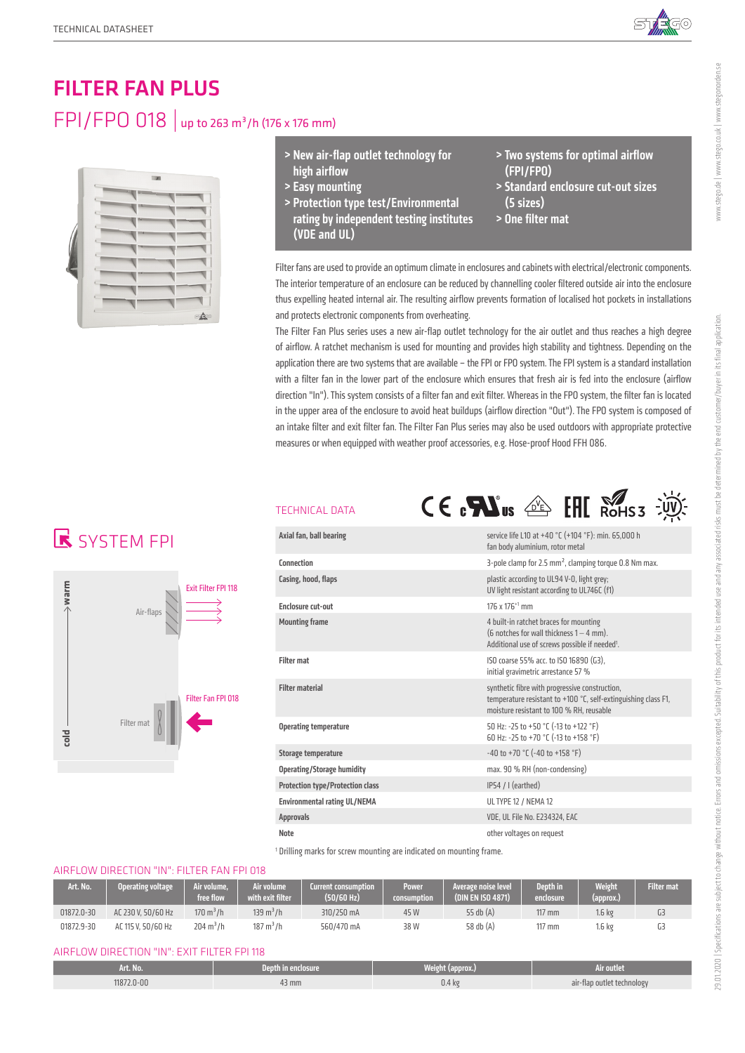

# FILTER FAN PLUS FPI/FPO 018 | up to 263 m<sup>3</sup>/h (176 x 176 mm)



- > New air-flap outlet technology for high airflow
- > Easy mounting
- > Protection type test/Environmental rating by independent testing institutes (VDE and UL)
- > Two systems for optimal airflow (FPI/FPO)
- > Standard enclosure cut-out sizes (5 sizes)
- > One filter mat

Filter fans are used to provide an optimum climate in enclosures and cabinets with electrical/electronic components. The interior temperature of an enclosure can be reduced by channelling cooler filtered outside air into the enclosure thus expelling heated internal air. The resulting airflow prevents formation of localised hot pockets in installations and protects electronic components from overheating.

The Filter Fan Plus series uses a new air-flap outlet technology for the air outlet and thus reaches a high degree of airflow. A ratchet mechanism is used for mounting and provides high stability and tightness. Depending on the application there are two systems that are available – the FPI or FPO system. The FPI system is a standard installation with a filter fan in the lower part of the enclosure which ensures that fresh air is fed into the enclosure (airflow direction "In"). This system consists of a filter fan and exit filter. Whereas in the FPO system, the filter fan is located in the upper area of the enclosure to avoid heat buildups (airflow direction "Out"). The FPO system is composed of an intake filter and exit filter fan. The Filter Fan Plus series may also be used outdoors with appropriate protective measures or when equipped with weather proof accessories, e.g. Hose-proof Hood FFH 086.

## **K** SYSTEM FPI



### TECHNICAL

| <b>FECHNICAL DATA</b>                                                                                          | $C \in \mathbf{R}$ us $\text{d}\mathbf{R}$ EHI Rohss                                                                                                         |  |  |  |  |  |
|----------------------------------------------------------------------------------------------------------------|--------------------------------------------------------------------------------------------------------------------------------------------------------------|--|--|--|--|--|
| Axial fan, ball bearing                                                                                        | service life L10 at +40 °C (+104 °F): min. 65,000 h<br>fan body aluminium, rotor metal                                                                       |  |  |  |  |  |
| Connection                                                                                                     | 3-pole clamp for 2.5 $mm2$ , clamping torque 0.8 Nm max.                                                                                                     |  |  |  |  |  |
| Casing, hood, flaps                                                                                            | plastic according to UL94 V-0, light grey;<br>UV light resistant according to UL746C (f1)                                                                    |  |  |  |  |  |
| Enclosure cut-out                                                                                              | 176 x 176 <sup>+1</sup> mm                                                                                                                                   |  |  |  |  |  |
| <b>Mounting frame</b>                                                                                          | 4 built-in ratchet braces for mounting<br>(6 notches for wall thickness $1 - 4$ mm).<br>Additional use of screws possible if needed <sup>1</sup> .           |  |  |  |  |  |
| <b>Filter mat</b>                                                                                              | ISO coarse 55% acc. to ISO 16890 (G3).<br>initial gravimetric arrestance 57 %                                                                                |  |  |  |  |  |
| <b>Filter material</b>                                                                                         | synthetic fibre with progressive construction,<br>temperature resistant to +100 °C, self-extinguishing class F1,<br>moisture resistant to 100 % RH, reusable |  |  |  |  |  |
| 50 Hz: -25 to +50 °C (-13 to +122 °F)<br><b>Operating temperature</b><br>60 Hz: -25 to +70 °C (-13 to +158 °F) |                                                                                                                                                              |  |  |  |  |  |
| Storage temperature                                                                                            | $-40$ to $+70$ °C ( $-40$ to $+158$ °F)                                                                                                                      |  |  |  |  |  |
| <b>Operating/Storage humidity</b>                                                                              | max. 90 % RH (non-condensing)                                                                                                                                |  |  |  |  |  |
| IP54 / I (earthed)<br><b>Protection type/Protection class</b>                                                  |                                                                                                                                                              |  |  |  |  |  |
| <b>Environmental rating UL/NEMA</b><br><b>UL TYPE 12 / NEMA 12</b>                                             |                                                                                                                                                              |  |  |  |  |  |
| <b>Approvals</b>                                                                                               | VDE, UL File No. E234324, EAC                                                                                                                                |  |  |  |  |  |
| <b>Note</b>                                                                                                    | other voltages on request                                                                                                                                    |  |  |  |  |  |

<sup>1</sup> Drilling marks for screw mounting are indicated on mounting frame.

### AIRFLOW DIRECTION "IN": FILTER FAN FPI 018

| Art. No.   | Operating voltage  | Air volume.<br>free flow: | <b>Nir volume</b><br>with exit filter <sup>'</sup> | <b>Current consumption</b><br>(50/60 Hz) | <b>Power</b><br>consumption | Average noise level<br>(DIN EN ISO 4871) | Depth in<br>enclosure' | <b>Weight</b><br>(approx.) | <b>Filter mat</b> |
|------------|--------------------|---------------------------|----------------------------------------------------|------------------------------------------|-----------------------------|------------------------------------------|------------------------|----------------------------|-------------------|
| 01872.0-30 | AC 230 V. 50/60 Hz | $170 \text{ m}^3/h$       | $139 \text{ m}^3/h$                                | 310/250 mA                               | 45 W                        | 55 db (A)                                | $117$ mm               | '.6 kg                     |                   |
| 01872.9-30 | AC 115 V. 50/60 Hz | $204 \text{ m}^3/h$       | $187 \text{ m}^3/h$                                | 560/470 mA                               | 38 W                        | 58 db (A)                                | $117$ mm               | '.6 kg                     |                   |

#### AIRFLOW DIRECTION "IN": EXIT FILTER FPI 118

| Art. No.   | /Depth in enclosure. | Weight (approx.)  | Air outlet                                  |
|------------|----------------------|-------------------|---------------------------------------------|
| 11872.0-00 | 43 mm                | 0.4 <sub>kg</sub> | air-flap outlet technology<br>$\rightarrow$ |